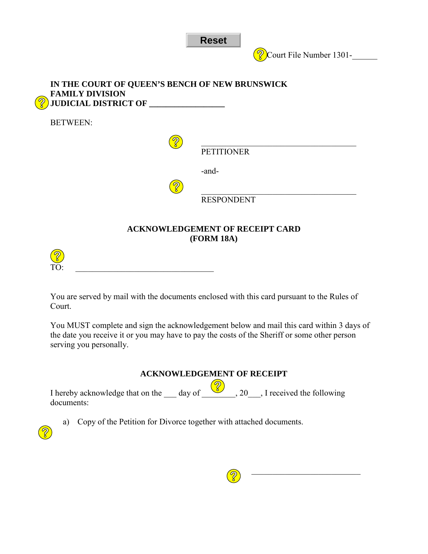

**Court File Number 1301-**

| IN THE COURT OF QUEEN'S BENCH OF NEW BRUNSWICK<br><b>FAMILY DIVISION</b><br>$\partial$<br>JUDICIAL DISTRICT OF ______ |                   |
|-----------------------------------------------------------------------------------------------------------------------|-------------------|
| <b>BETWEEN:</b>                                                                                                       |                   |
|                                                                                                                       | <b>PETITIONER</b> |
|                                                                                                                       | -and-             |
|                                                                                                                       | <b>RESPONDENT</b> |
| <b>ACKNOWLEDGEMENT OF RECEIPT CARD</b><br><b>(FORM 18A)</b>                                                           |                   |

You are served by mail with the documents enclosed with this card pursuant to the Rules of Court.

TO: \_\_\_\_\_\_\_\_\_\_\_\_\_\_\_\_\_\_\_\_\_\_\_\_\_\_\_\_\_\_\_\_\_

You MUST complete and sign the acknowledgement below and mail this card within 3 days of the date you receive it or you may have to pay the costs of the Sheriff or some other person serving you personally.

## **ACKNOWLEDGEMENT OF RECEIPT**

I hereby acknowledge that on the  $\_\_\_$  day of  $\_\_\_\_$ , 20 $\_\_\_\_$  I received the following documents:

a) Copy of the Petition for Divorce together with attached documents.





\_\_\_\_\_\_\_\_\_\_\_\_\_\_\_\_\_\_\_\_\_\_\_\_\_\_